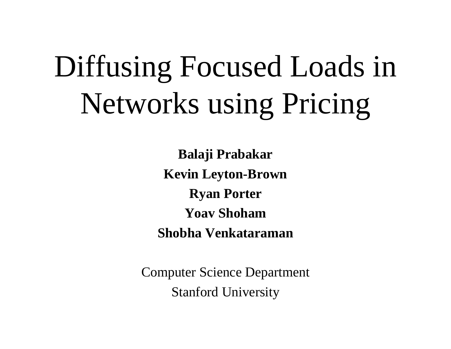# Diffusing Focused Loads in Networks using Pricing

**Balaji Prabakar Kevin Leyton-Brown Ryan Porter Yoav ShohamShobha Venkataraman**

Computer Science Department Stanford University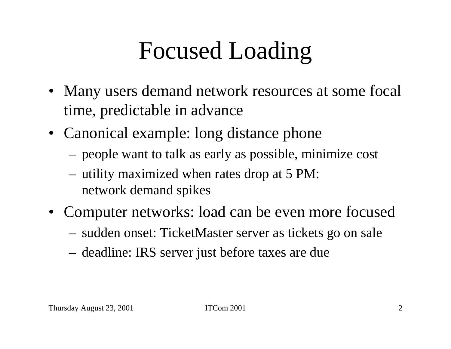## Focused Loading

- Many users demand network resources at some focal time, predictable in advance
- Canonical example: long distance phone
	- people want to talk as early as possible, minimize cost
	- utility maximized when rates drop at 5 PM: network demand spikes
- Computer networks: load can be even more focused
	- sudden onset: TicketMaster server as tickets go on sale
	- deadline: IRS server just before taxes are due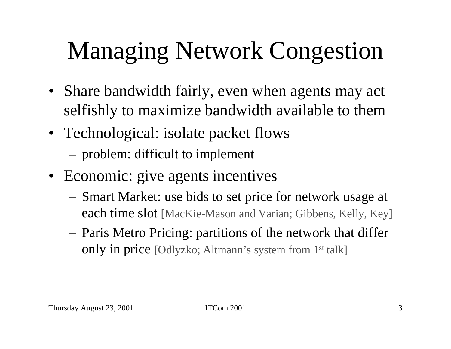# Managing Network Congestion

- Share bandwidth fairly, even when agents may act selfishly to maximize bandwidth available to them
- Technological: isolate packet flows
	- problem: difficult to implement
- Economic: give agents incentives
	- Smart Market: use bids to set price for network usage at each time slot [MacKie-Mason and Varian; Gibbens, Kelly, Key]
	- Paris Metro Pricing: partitions of the network that differ only in price [Odlyzko; Altmann's system from 1st talk]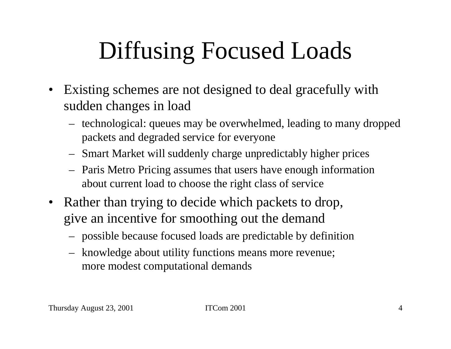## Diffusing Focused Loads

- Existing schemes are not designed to deal gracefully with sudden changes in load
	- technol ogical: queues may be overwhelmed, leading to many dropped packets and degraded service for everyone
	- Smart Market will suddenly charge unpredictably higher prices
	- Paris Metro Pricing assumes that users have enough information about current load to choose the right class of service
- Rather than trying to decide which packets to drop, give an incentive for smoothing out the demand
	- possible because focused loads are predictable by definit ion
	- knowledge about utility functions means more revenue; more modest computational demands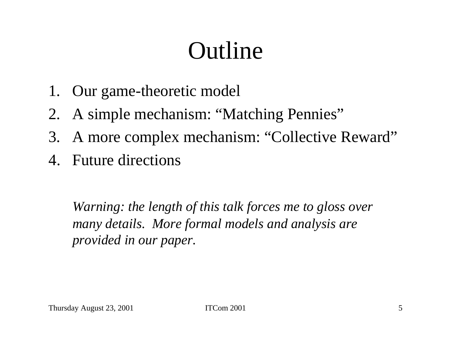#### **Outline**

- 1. Our game-theoretic model
- 2. A simple mechanism: "Matching Pennies"
- 3. A more complex mechanism: "Collective Reward"
- 4. Future directions

*Warning: the length of this talk forces me to gloss over many details. More formal models and analysis are provided in our paper.*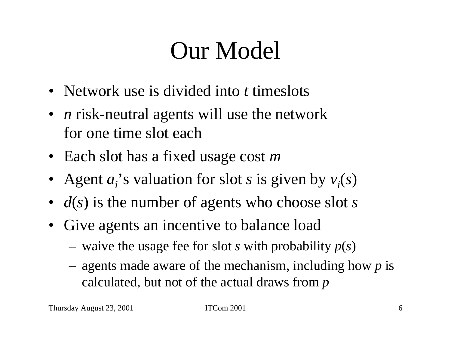#### Our Model

- Network use is divided into *t* timeslots
- *n* risk-neutral agents will use the network for one time slot each
- Each slot has a fixed usage cost *<sup>m</sup>*
- Agent  $a_i$ 's valuation for slot *s* is given by  $v_i(s)$
- *d*(*s*) is the number of agents who choose slot *<sup>s</sup>*
- Give agents an incentive to balance load
	- $-$  waive the usage fee for slot *s* with probability  $p(s)$
	- agents made aware of the mechanism, including how *p* is calculated, but not of the actual draws from *p*

Thursday August 23, 2001 ITCom 2001 6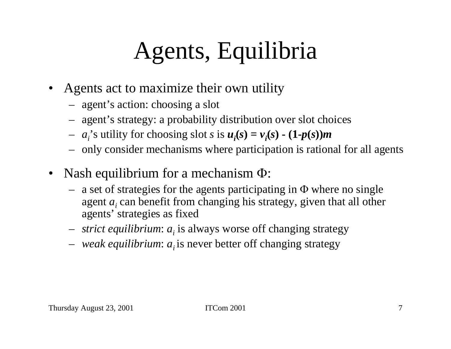## Agents, Equilibria

- •Agents act to maximize their own utility
	- agen<sup>t</sup>'s action: choosing a slot
	- agen<sup>t</sup>'s strategy: a probability distribution over slot choices
	- $a_i$ 's utility for choosing slot *s* is  $u_i(s) = v_i(s) (1-p(s))m$
	- only consider mechanisms where participation is rational for all agents
- •Nash equilibrium for a mechanism Φ:
	- a set of strategies for the agents participating in Φ where no single agent *ai* can benefit from changing his strategy, given that all other agents' strategies as fixed
	- *strict equilibrium:*  $a_i$  is always worse off changing strategy
	- *weak e quilibrium*: *ai* is never better off changing strategy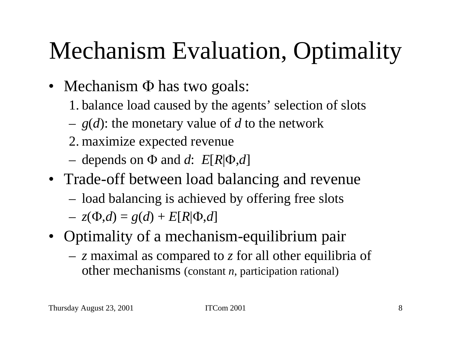# Mechanism Evaluation, Optimality

- Mechanism Φ has two goals:
	- 1. balance load caused by the agents' selection of slots
	- *g* ( *d*): the monetary value of *d* to the network
	- 2. maximize expected revenue
	- depends on Φ and  $d$ :  $E[R]$ Φ, $d$ ]
- Trade-off between load balancing and revenue
	- load balancing is achieved by offering free slots
	- $Z = z(\Phi, d) = g(d) + E[R]\Phi, d]$
- Optimality of a mechanism-equilibrium pair
	- – *<sup>z</sup>*maximal as compared to *z* for all other equilibria of other mechanisms (constant *<sup>n</sup>*, participation rational)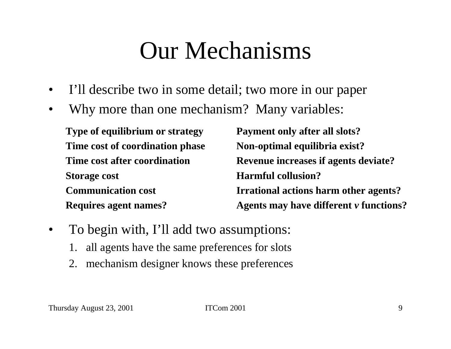#### Our Mechanisms

- $\bullet$ I'll describe two in some detail; two more in our paper
- $\bullet$ Why more than one mechanism? Many variables:

**Type of equilibrium or strategy Time cost of coordination phase Time cost after coordinationStorage cost Communication costRequires agent names? Payment only after all slots? Non-optimal equilibria exist? Revenue increases if agents deviate? Harmful collusion?Irrational actions harm other agents? Agents may have different**  *v* **functions?**

- $\bullet$ To begin with, I'll add two assumptions:
	- 1.all agents have the same preferences for slots
	- 2. mechanism designer knows these preferences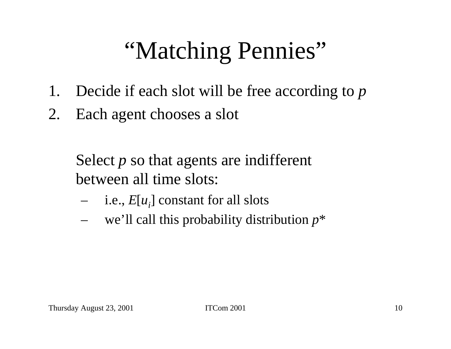## "Matching Pennies"

- 1. Decide if each slot will be free according to *p*
- 2. Each agent chooses a slot

Select *p* so that agents are indifferent between all time slots:

- i.e., *E* [ *ui*] constant for all slots
- we'll call this probability distribution *p* \*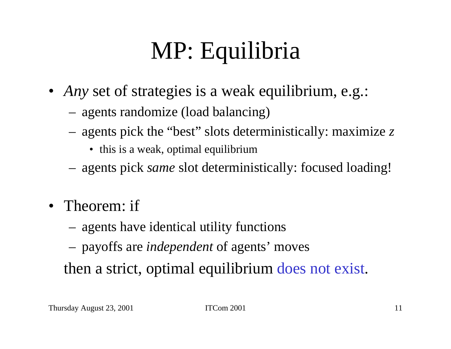# MP: Equilibria

- *Any* set of strategies is a weak equilibrium, e.g.:
	- agents randomize (load balancing)
	- agents pick the "best" slots deterministically: maximize *z*
		- this is a weak, optimal equilibrium
	- agents pick *same* slot deterministically: focused loading!
- Theorem: if
	- agents have identical utility functions
	- payoffs are *independent* of agents' moves

then a strict, optimal equilibrium does not exist.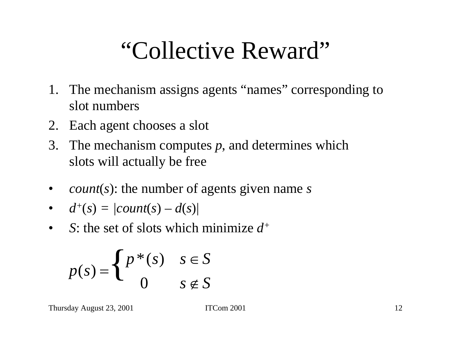#### "Collective Reward"

- 1. The mechanism assigns agents "names" corresponding to slot numbers
- 2.Each agent chooses a slot
- 3. The mechanism computes *p*, and determines which slots will actually be free
- •• *count*(*s*): the number of agents given name *s*

• 
$$
d^+(s) = |count(s) - d(s)|
$$

 $\bullet$ *S*: the set of slots which minimize *d+*

$$
p(s) = \begin{cases} p^*(s) & s \in S \\ 0 & s \notin S \end{cases}
$$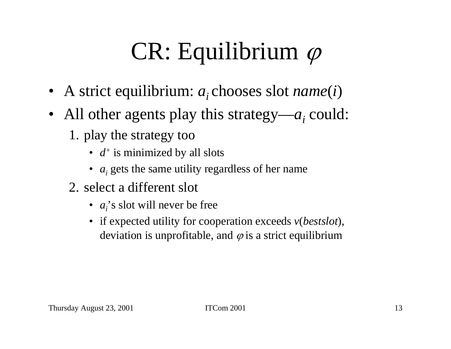# CR: Equilibrium  $\varphi$

- A strict equilibrium: *a*<sub>i</sub> chooses slot *name*(*i*)
- All other agents play this strategy—a<sub>i</sub> could:
	- 1. play the strategy too
		- $d^+$  is minimized by all slots
		- *a<sub>i</sub>* gets the same utility regardless of her name
	- 2. select a different slot
		- *a<sub>i</sub>*'s slot will never be free
		- if expected utility for cooperation exceeds *v* (*bestslot*), deviation is unprofitable, and  $\varphi$  is a strict equilibrium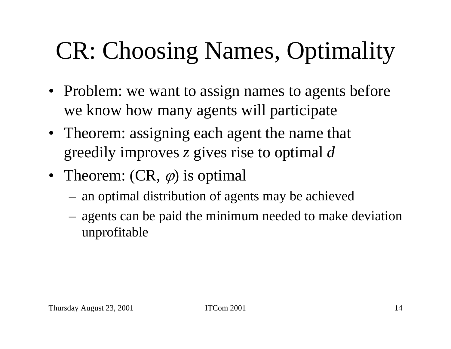# CR: Choosing Names, Optimality

- Problem: we want to assign names to agents before we know how many agents will participate
- Theorem: assigning each agent the name that greedily improves *<sup>z</sup>* gives rise to optimal *d*
- Theorem:  $(CR, \varphi)$  is optimal
	- an optimal distribution of agents may be achieved
	- agents can be paid the minimum needed to make deviation unprofitable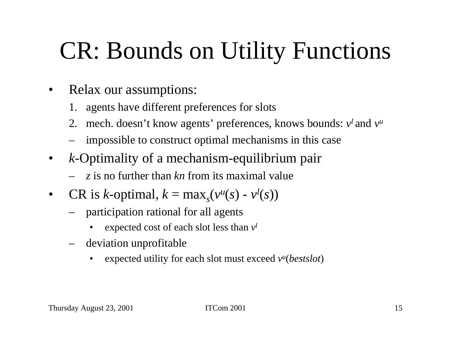## CR: Bounds on Utility Functions

- $\bullet$ Relax our assumptions:
	- 1. agents have different preferences for slots
	- 2. mech. doesn't know agents' preferences, knows bounds:  $v^l$  and  $v^u$
	- impossible to construct optimal mechanisms in this case
- $\bullet$ *k*-Optimality of a mechanism-equilibrium pair
	- *<sup>z</sup>* is no further than *kn* from its maximal value
- $\bullet$ • CR is *k*-optimal,  $k = \max_{s} (v)$ *u*  $(y)$  -  $v^l(s)$ 
	- participation rational for all agents
		- •expected cost of each slot less than *vl*
	- –deviation unprofitable
		- •expected utility for each slot must exceed  $v^u(bestslot)$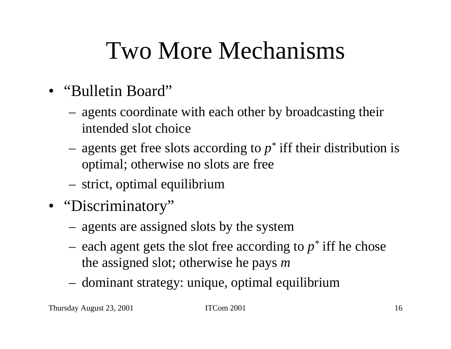### Two More Mechanisms

- •"Bulletin Board"
	- agents coordinate with each other by broadcasting their intended slot choice
	- agents get free slots according to *p \** iff their distribution is optimal; otherwise no slots are free
	- strict, optimal equilibrium
- "Discriminatory"
	- agents are assigned slots by the system
	- $-$  each agent gets the slot free according to  $p^*$  iff he chose the assigned slot; otherwise he pays *m*
	- dominant strategy: unique, optimal equilibrium